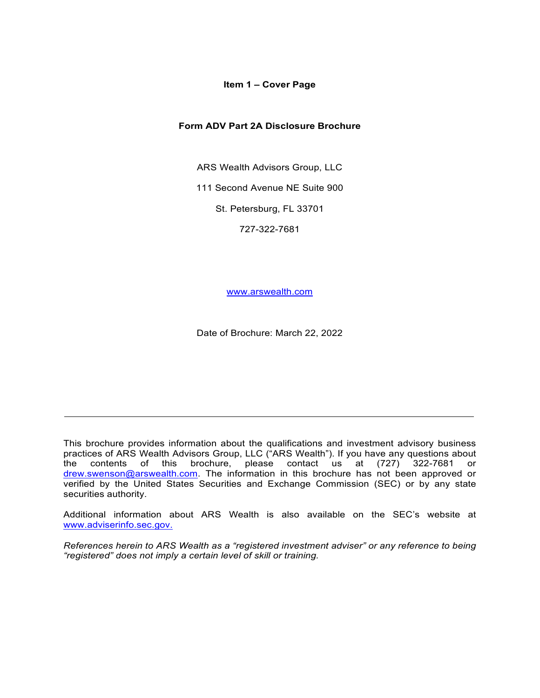## **Item 1 – Cover Page**

## <span id="page-0-0"></span>**Form ADV Part 2A Disclosure Brochure**

ARS Wealth Advisors Group, LLC

111 Second Avenue NE Suite 900

St. Petersburg, FL 33701

727-322-7681

[www.arswealth.com](http://www.arswealth.com/)

Date of Brochure: March 22, 2022

This brochure provides information about the qualifications and investment advisory business practices of ARS Wealth Advisors Group, LLC ("ARS Wealth"). If you have any questions about the contents of this brochure, please contact us at (727) 322-7681 or brochure, please contact us at (727) 322-7681 or [drew.swenson@arswealth.com.](mailto:drew.swenson@arswealth.com) The information in this brochure has not been approved or verified by the United States Securities and Exchange Commission (SEC) or by any state securities authority.

Additional information about ARS Wealth is also available on the SEC's website at [www.adviserinfo.sec.gov.](http://www.adviserinfo.sec.gov./)

*References herein to ARS Wealth as a "registered investment adviser" or any reference to being "registered" does not imply a certain level of skill or training.*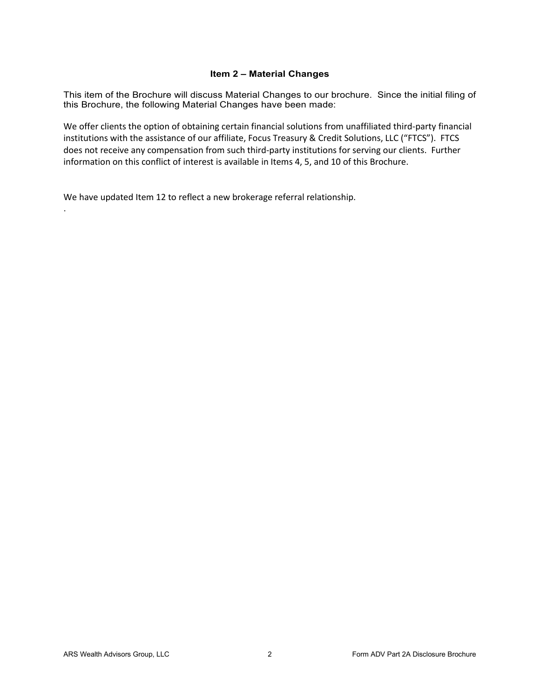# **Item 2 – Material Changes**

<span id="page-1-0"></span>This item of the Brochure will discuss Material Changes to our brochure. Since the initial filing of this Brochure, the following Material Changes have been made:

We offer clients the option of obtaining certain financial solutions from unaffiliated third-party financial institutions with the assistance of our affiliate, Focus Treasury & Credit Solutions, LLC ("FTCS"). FTCS does not receive any compensation from such third-party institutions for serving our clients. Further information on this conflict of interest is available in Items 4, 5, and 10 of this Brochure.

We have updated Item 12 to reflect a new brokerage referral relationship.

.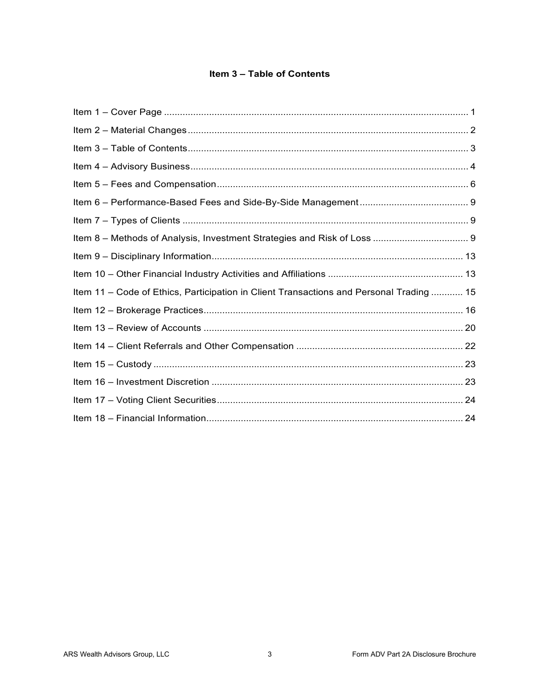# Item 3 - Table of Contents

<span id="page-2-0"></span>

| Item 11 – Code of Ethics, Participation in Client Transactions and Personal Trading  15 |  |
|-----------------------------------------------------------------------------------------|--|
|                                                                                         |  |
|                                                                                         |  |
|                                                                                         |  |
|                                                                                         |  |
|                                                                                         |  |
|                                                                                         |  |
|                                                                                         |  |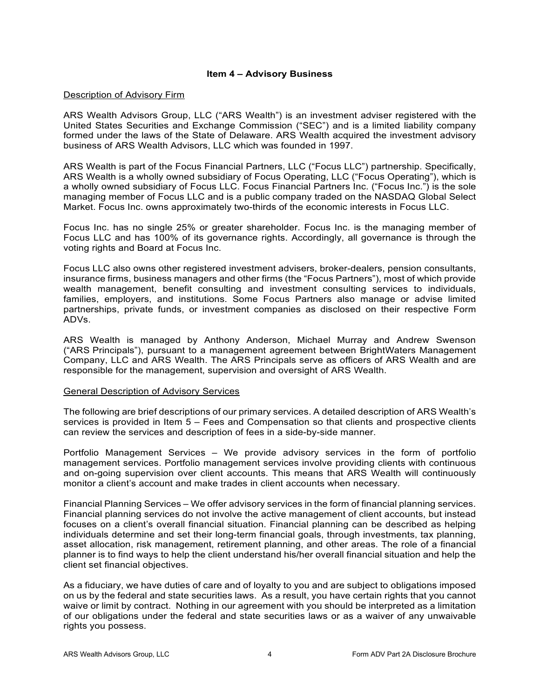## **Item 4 – Advisory Business**

#### <span id="page-3-0"></span>Description of Advisory Firm

ARS Wealth Advisors Group, LLC ("ARS Wealth") is an investment adviser registered with the United States Securities and Exchange Commission ("SEC") and is a limited liability company formed under the laws of the State of Delaware. ARS Wealth acquired the investment advisory business of ARS Wealth Advisors, LLC which was founded in 1997.

ARS Wealth is part of the Focus Financial Partners, LLC ("Focus LLC") partnership. Specifically, ARS Wealth is a wholly owned subsidiary of Focus Operating, LLC ("Focus Operating"), which is a wholly owned subsidiary of Focus LLC. Focus Financial Partners Inc. ("Focus Inc.") is the sole managing member of Focus LLC and is a public company traded on the NASDAQ Global Select Market. Focus Inc. owns approximately two-thirds of the economic interests in Focus LLC.

Focus Inc. has no single 25% or greater shareholder. Focus Inc. is the managing member of Focus LLC and has 100% of its governance rights. Accordingly, all governance is through the voting rights and Board at Focus Inc.

Focus LLC also owns other registered investment advisers, broker-dealers, pension consultants, insurance firms, business managers and other firms (the "Focus Partners"), most of which provide wealth management, benefit consulting and investment consulting services to individuals, families, employers, and institutions. Some Focus Partners also manage or advise limited partnerships, private funds, or investment companies as disclosed on their respective Form ADVs.

ARS Wealth is managed by Anthony Anderson, Michael Murray and Andrew Swenson ("ARS Principals"), pursuant to a management agreement between BrightWaters Management Company, LLC and ARS Wealth. The ARS Principals serve as officers of ARS Wealth and are responsible for the management, supervision and oversight of ARS Wealth.

## General Description of Advisory Services

The following are brief descriptions of our primary services. A detailed description of ARS Wealth's services is provided in Item 5 – Fees and Compensation so that clients and prospective clients can review the services and description of fees in a side-by-side manner.

Portfolio Management Services – We provide advisory services in the form of portfolio management services. Portfolio management services involve providing clients with continuous and on-going supervision over client accounts. This means that ARS Wealth will continuously monitor a client's account and make trades in client accounts when necessary.

Financial Planning Services – We offer advisory services in the form of financial planning services. Financial planning services do not involve the active management of client accounts, but instead focuses on a client's overall financial situation. Financial planning can be described as helping individuals determine and set their long-term financial goals, through investments, tax planning, asset allocation, risk management, retirement planning, and other areas. The role of a financial planner is to find ways to help the client understand his/her overall financial situation and help the client set financial objectives.

As a fiduciary, we have duties of care and of loyalty to you and are subject to obligations imposed on us by the federal and state securities laws. As a result, you have certain rights that you cannot waive or limit by contract. Nothing in our agreement with you should be interpreted as a limitation of our obligations under the federal and state securities laws or as a waiver of any unwaivable rights you possess.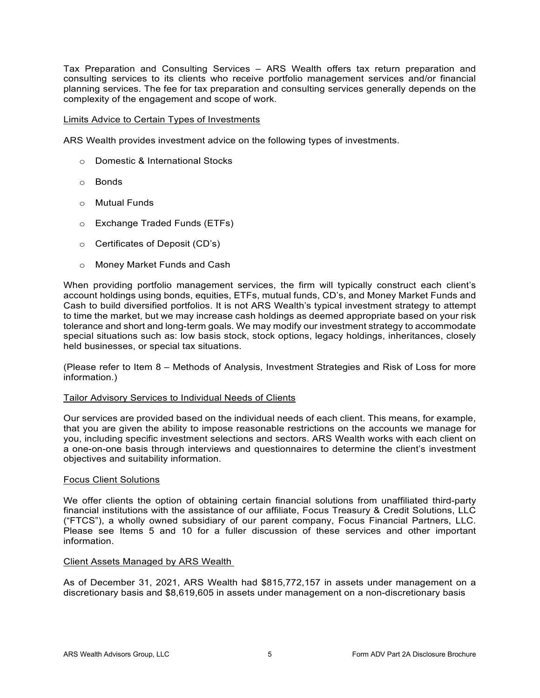Tax Preparation and Consulting Services – ARS Wealth offers tax return preparation and consulting services to its clients who receive portfolio management services and/or financial planning services. The fee for tax preparation and consulting services generally depends on the complexity of the engagement and scope of work.

## Limits Advice to Certain Types of Investments

ARS Wealth provides investment advice on the following types of investments.

- o Domestic & International Stocks
- o Bonds
- o Mutual Funds
- o Exchange Traded Funds (ETFs)
- o Certificates of Deposit (CD's)
- o Money Market Funds and Cash

When providing portfolio management services, the firm will typically construct each client's account holdings using bonds, equities, ETFs, mutual funds, CD's, and Money Market Funds and Cash to build diversified portfolios. It is not ARS Wealth's typical investment strategy to attempt to time the market, but we may increase cash holdings as deemed appropriate based on your risk tolerance and short and long-term goals. We may modify our investment strategy to accommodate special situations such as: low basis stock, stock options, legacy holdings, inheritances, closely held businesses, or special tax situations.

(Please refer to Item 8 – Methods of Analysis, Investment Strategies and Risk of Loss for more information.)

## Tailor Advisory Services to Individual Needs of Clients

Our services are provided based on the individual needs of each client. This means, for example, that you are given the ability to impose reasonable restrictions on the accounts we manage for you, including specific investment selections and sectors. ARS Wealth works with each client on a one-on-one basis through interviews and questionnaires to determine the client's investment objectives and suitability information.

## Focus Client Solutions

We offer clients the option of obtaining certain financial solutions from unaffiliated third-party financial institutions with the assistance of our affiliate, Focus Treasury & Credit Solutions, LLC ("FTCS"), a wholly owned subsidiary of our parent company, Focus Financial Partners, LLC. Please see Items 5 and 10 for a fuller discussion of these services and other important information.

## Client Assets Managed by ARS Wealth

<span id="page-4-0"></span>As of December 31, 2021, ARS Wealth had \$815,772,157 in assets under management on a discretionary basis and \$8,619,605 in assets under management on a non-discretionary basis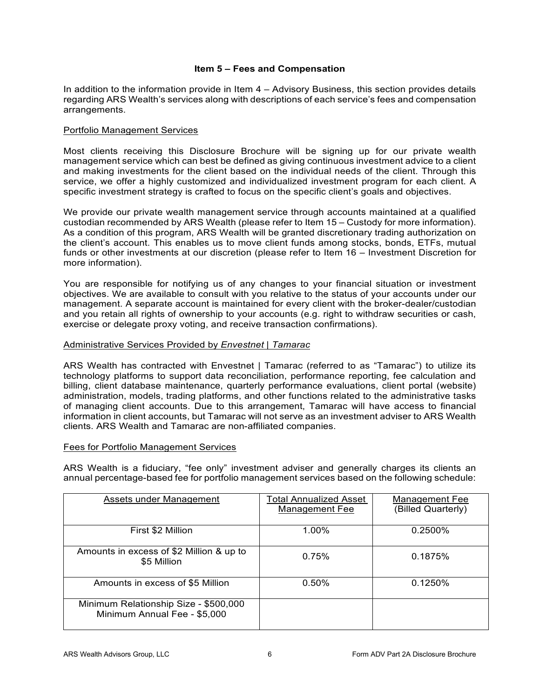## **Item 5 – Fees and Compensation**

In addition to the information provide in Item 4 – Advisory Business, this section provides details regarding ARS Wealth's services along with descriptions of each service's fees and compensation arrangements.

## Portfolio Management Services

Most clients receiving this Disclosure Brochure will be signing up for our private wealth management service which can best be defined as giving continuous investment advice to a client and making investments for the client based on the individual needs of the client. Through this service, we offer a highly customized and individualized investment program for each client. A specific investment strategy is crafted to focus on the specific client's goals and objectives.

We provide our private wealth management service through accounts maintained at a qualified custodian recommended by ARS Wealth (please refer to Item 15 – Custody for more information). As a condition of this program, ARS Wealth will be granted discretionary trading authorization on the client's account. This enables us to move client funds among stocks, bonds, ETFs, mutual funds or other investments at our discretion (please refer to Item 16 – Investment Discretion for more information).

You are responsible for notifying us of any changes to your financial situation or investment objectives. We are available to consult with you relative to the status of your accounts under our management. A separate account is maintained for every client with the broker-dealer/custodian and you retain all rights of ownership to your accounts (e.g. right to withdraw securities or cash, exercise or delegate proxy voting, and receive transaction confirmations).

## Administrative Services Provided by *Envestnet | Tamarac*

ARS Wealth has contracted with Envestnet | Tamarac (referred to as "Tamarac") to utilize its technology platforms to support data reconciliation, performance reporting, fee calculation and billing, client database maintenance, quarterly performance evaluations, client portal (website) administration, models, trading platforms, and other functions related to the administrative tasks of managing client accounts. Due to this arrangement, Tamarac will have access to financial information in client accounts, but Tamarac will not serve as an investment adviser to ARS Wealth clients. ARS Wealth and Tamarac are non-affiliated companies.

## Fees for Portfolio Management Services

ARS Wealth is a fiduciary, "fee only" investment adviser and generally charges its clients an annual percentage-based fee for portfolio management services based on the following schedule:

| Assets under Management                  | Total Annualized Asset | Management Fee     |
|------------------------------------------|------------------------|--------------------|
|                                          |                        |                    |
|                                          | Management Fee         | (Billed Quarterly) |
|                                          |                        |                    |
|                                          |                        |                    |
| First \$2 Million                        | 1.00%                  | 0.2500%            |
|                                          |                        |                    |
|                                          |                        |                    |
|                                          |                        |                    |
| Amounts in excess of \$2 Million & up to |                        |                    |
|                                          | 0.75%                  | 0.1875%            |
| \$5 Million                              |                        |                    |
|                                          |                        |                    |
|                                          |                        |                    |
| Amounts in excess of \$5 Million         | 0.50%                  | 0.1250%            |
|                                          |                        |                    |
|                                          |                        |                    |
|                                          |                        |                    |
| Minimum Relationship Size - \$500,000    |                        |                    |
| Minimum Annual Fee - \$5,000             |                        |                    |
|                                          |                        |                    |
|                                          |                        |                    |
|                                          |                        |                    |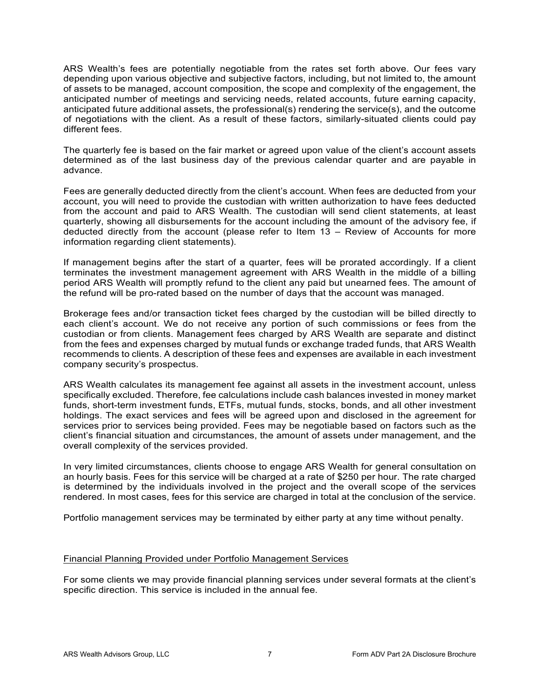ARS Wealth's fees are potentially negotiable from the rates set forth above. Our fees vary depending upon various objective and subjective factors, including, but not limited to, the amount of assets to be managed, account composition, the scope and complexity of the engagement, the anticipated number of meetings and servicing needs, related accounts, future earning capacity, anticipated future additional assets, the professional(s) rendering the service(s), and the outcome of negotiations with the client. As a result of these factors, similarly-situated clients could pay different fees.

The quarterly fee is based on the fair market or agreed upon value of the client's account assets determined as of the last business day of the previous calendar quarter and are payable in advance.

Fees are generally deducted directly from the client's account. When fees are deducted from your account, you will need to provide the custodian with written authorization to have fees deducted from the account and paid to ARS Wealth. The custodian will send client statements, at least quarterly, showing all disbursements for the account including the amount of the advisory fee, if deducted directly from the account (please refer to Item 13 – Review of Accounts for more information regarding client statements).

If management begins after the start of a quarter, fees will be prorated accordingly. If a client terminates the investment management agreement with ARS Wealth in the middle of a billing period ARS Wealth will promptly refund to the client any paid but unearned fees. The amount of the refund will be pro-rated based on the number of days that the account was managed.

Brokerage fees and/or transaction ticket fees charged by the custodian will be billed directly to each client's account. We do not receive any portion of such commissions or fees from the custodian or from clients. Management fees charged by ARS Wealth are separate and distinct from the fees and expenses charged by mutual funds or exchange traded funds, that ARS Wealth recommends to clients. A description of these fees and expenses are available in each investment company security's prospectus.

ARS Wealth calculates its management fee against all assets in the investment account, unless specifically excluded. Therefore, fee calculations include cash balances invested in money market funds, short-term investment funds, ETFs, mutual funds, stocks, bonds, and all other investment holdings. The exact services and fees will be agreed upon and disclosed in the agreement for services prior to services being provided. Fees may be negotiable based on factors such as the client's financial situation and circumstances, the amount of assets under management, and the overall complexity of the services provided.

In very limited circumstances, clients choose to engage ARS Wealth for general consultation on an hourly basis. Fees for this service will be charged at a rate of \$250 per hour. The rate charged is determined by the individuals involved in the project and the overall scope of the services rendered. In most cases, fees for this service are charged in total at the conclusion of the service.

Portfolio management services may be terminated by either party at any time without penalty.

## Financial Planning Provided under Portfolio Management Services

For some clients we may provide financial planning services under several formats at the client's specific direction. This service is included in the annual fee.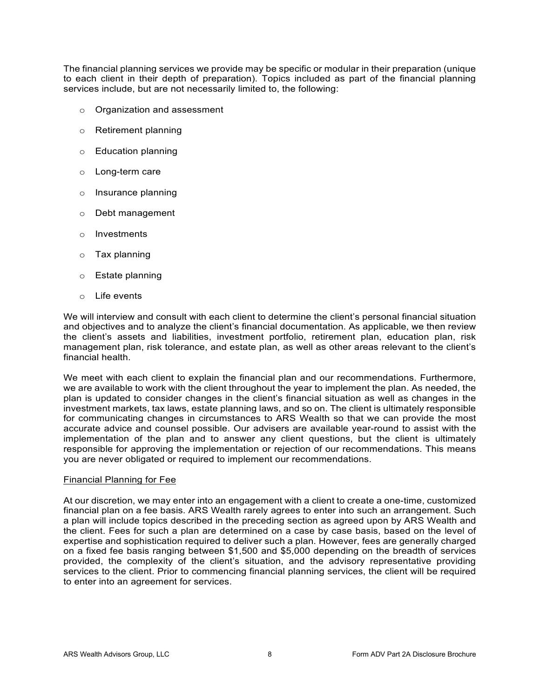The financial planning services we provide may be specific or modular in their preparation (unique to each client in their depth of preparation). Topics included as part of the financial planning services include, but are not necessarily limited to, the following:

- o Organization and assessment
- o Retirement planning
- o Education planning
- o Long-term care
- o Insurance planning
- o Debt management
- o Investments
- $\circ$  Tax planning
- o Estate planning
- o Life events

We will interview and consult with each client to determine the client's personal financial situation and objectives and to analyze the client's financial documentation. As applicable, we then review the client's assets and liabilities, investment portfolio, retirement plan, education plan, risk management plan, risk tolerance, and estate plan, as well as other areas relevant to the client's financial health.

We meet with each client to explain the financial plan and our recommendations. Furthermore, we are available to work with the client throughout the year to implement the plan. As needed, the plan is updated to consider changes in the client's financial situation as well as changes in the investment markets, tax laws, estate planning laws, and so on. The client is ultimately responsible for communicating changes in circumstances to ARS Wealth so that we can provide the most accurate advice and counsel possible. Our advisers are available year-round to assist with the implementation of the plan and to answer any client questions, but the client is ultimately responsible for approving the implementation or rejection of our recommendations. This means you are never obligated or required to implement our recommendations.

## Financial Planning for Fee

At our discretion, we may enter into an engagement with a client to create a one-time, customized financial plan on a fee basis. ARS Wealth rarely agrees to enter into such an arrangement. Such a plan will include topics described in the preceding section as agreed upon by ARS Wealth and the client. Fees for such a plan are determined on a case by case basis, based on the level of expertise and sophistication required to deliver such a plan. However, fees are generally charged on a fixed fee basis ranging between \$1,500 and \$5,000 depending on the breadth of services provided, the complexity of the client's situation, and the advisory representative providing services to the client. Prior to commencing financial planning services, the client will be required to enter into an agreement for services.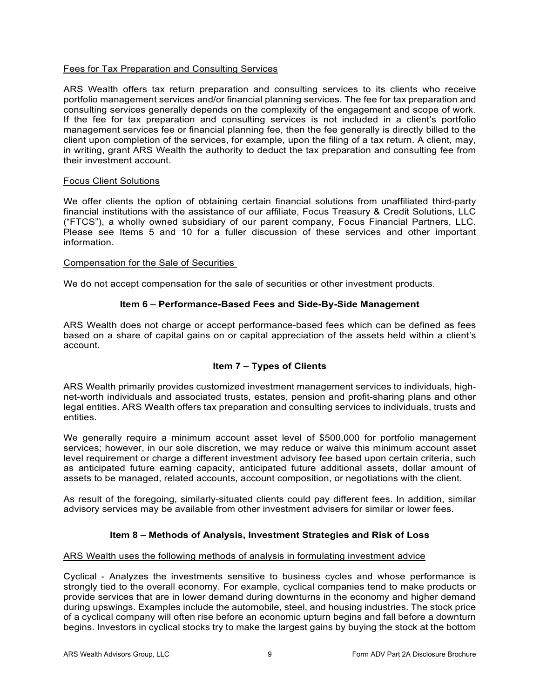## Fees for Tax Preparation and Consulting Services

ARS Wealth offers tax return preparation and consulting services to its clients who receive portfolio management services and/or financial planning services. The fee for tax preparation and consulting services generally depends on the complexity of the engagement and scope of work. If the fee for tax preparation and consulting services is not included in a client's portfolio management services fee or financial planning fee, then the fee generally is directly billed to the client upon completion of the services, for example, upon the filing of a tax return. A client, may, in writing, grant ARS Wealth the authority to deduct the tax preparation and consulting fee from their investment account.

## Focus Client Solutions

We offer clients the option of obtaining certain financial solutions from unaffiliated third-party financial institutions with the assistance of our affiliate, Focus Treasury & Credit Solutions, LLC ("FTCS"), a wholly owned subsidiary of our parent company, Focus Financial Partners, LLC. Please see Items 5 and 10 for a fuller discussion of these services and other important information.

#### Compensation for the Sale of Securities

<span id="page-8-0"></span>We do not accept compensation for the sale of securities or other investment products.

## **Item 6 – Performance-Based Fees and Side-By-Side Management**

ARS Wealth does not charge or accept performance-based fees which can be defined as fees based on a share of capital gains on or capital appreciation of the assets held within a client's account.

## **Item 7 – Types of Clients**

<span id="page-8-1"></span>ARS Wealth primarily provides customized investment management services to individuals, highnet-worth individuals and associated trusts, estates, pension and profit-sharing plans and other legal entities. ARS Wealth offers tax preparation and consulting services to individuals, trusts and entities.

We generally require a minimum account asset level of \$500,000 for portfolio management services; however, in our sole discretion, we may reduce or waive this minimum account asset level requirement or charge a different investment advisory fee based upon certain criteria, such as anticipated future earning capacity, anticipated future additional assets, dollar amount of assets to be managed, related accounts, account composition, or negotiations with the client.

As result of the foregoing, similarly-situated clients could pay different fees. In addition, similar advisory services may be available from other investment advisers for similar or lower fees.

# **Item 8 – Methods of Analysis, Investment Strategies and Risk of Loss**

## <span id="page-8-2"></span>ARS Wealth uses the following methods of analysis in formulating investment advice

Cyclical - Analyzes the investments sensitive to business cycles and whose performance is strongly tied to the overall economy. For example, cyclical companies tend to make products or provide services that are in lower demand during downturns in the economy and higher demand during upswings. Examples include the automobile, steel, and housing industries. The stock price of a cyclical company will often rise before an economic upturn begins and fall before a downturn begins. Investors in cyclical stocks try to make the largest gains by buying the stock at the bottom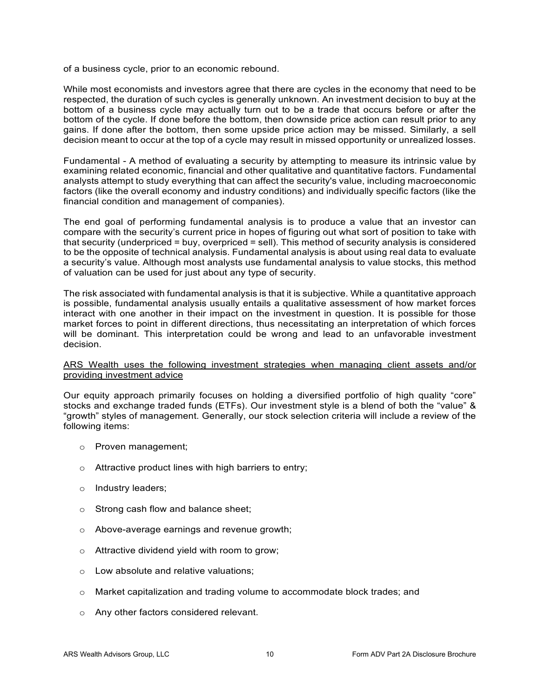of a business cycle, prior to an economic rebound.

While most economists and investors agree that there are cycles in the economy that need to be respected, the duration of such cycles is generally unknown. An investment decision to buy at the bottom of a business cycle may actually turn out to be a trade that occurs before or after the bottom of the cycle. If done before the bottom, then downside price action can result prior to any gains. If done after the bottom, then some upside price action may be missed. Similarly, a sell decision meant to occur at the top of a cycle may result in missed opportunity or unrealized losses.

Fundamental - A method of evaluating a security by attempting to measure its intrinsic value by examining related economic, financial and other qualitative and quantitative factors. Fundamental analysts attempt to study everything that can affect the security's value, including macroeconomic factors (like the overall economy and industry conditions) and individually specific factors (like the financial condition and management of companies).

The end goal of performing fundamental analysis is to produce a value that an investor can compare with the security's current price in hopes of figuring out what sort of position to take with that security (underpriced = buy, overpriced = sell). This method of security analysis is considered to be the opposite of technical analysis. Fundamental analysis is about using real data to evaluate a security's value. Although most analysts use fundamental analysis to value stocks, this method of valuation can be used for just about any type of security.

The risk associated with fundamental analysis is that it is subjective. While a quantitative approach is possible, fundamental analysis usually entails a qualitative assessment of how market forces interact with one another in their impact on the investment in question. It is possible for those market forces to point in different directions, thus necessitating an interpretation of which forces will be dominant. This interpretation could be wrong and lead to an unfavorable investment decision.

## ARS Wealth uses the following investment strategies when managing client assets and/or providing investment advice

Our equity approach primarily focuses on holding a diversified portfolio of high quality "core" stocks and exchange traded funds (ETFs). Our investment style is a blend of both the "value" & "growth" styles of management. Generally, our stock selection criteria will include a review of the following items:

- o Proven management;
- $\circ$  Attractive product lines with high barriers to entry;
- o Industry leaders;
- o Strong cash flow and balance sheet;
- o Above-average earnings and revenue growth;
- o Attractive dividend yield with room to grow;
- o Low absolute and relative valuations;
- o Market capitalization and trading volume to accommodate block trades; and
- o Any other factors considered relevant.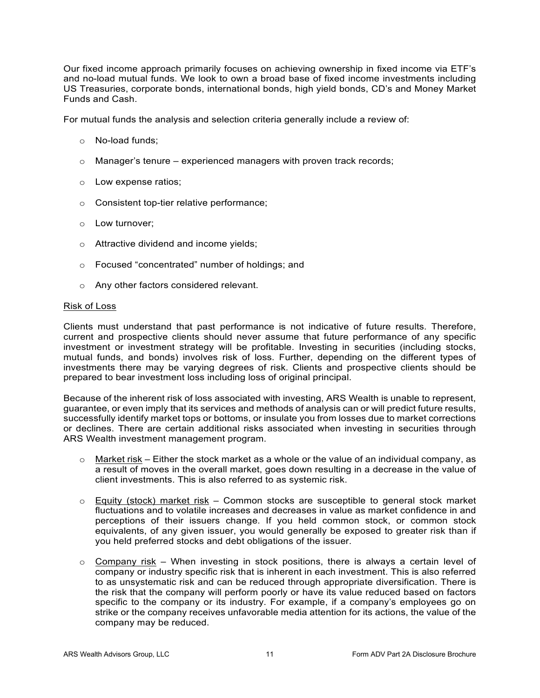Our fixed income approach primarily focuses on achieving ownership in fixed income via ETF's and no-load mutual funds. We look to own a broad base of fixed income investments including US Treasuries, corporate bonds, international bonds, high yield bonds, CD's and Money Market Funds and Cash.

For mutual funds the analysis and selection criteria generally include a review of:

- o No-load funds;
- $\circ$  Manager's tenure experienced managers with proven track records;
- o Low expense ratios;
- o Consistent top-tier relative performance;
- o Low turnover;
- o Attractive dividend and income yields;
- o Focused "concentrated" number of holdings; and
- o Any other factors considered relevant.

#### Risk of Loss

Clients must understand that past performance is not indicative of future results. Therefore, current and prospective clients should never assume that future performance of any specific investment or investment strategy will be profitable. Investing in securities (including stocks, mutual funds, and bonds) involves risk of loss. Further, depending on the different types of investments there may be varying degrees of risk. Clients and prospective clients should be prepared to bear investment loss including loss of original principal.

Because of the inherent risk of loss associated with investing, ARS Wealth is unable to represent, guarantee, or even imply that its services and methods of analysis can or will predict future results, successfully identify market tops or bottoms, or insulate you from losses due to market corrections or declines. There are certain additional risks associated when investing in securities through ARS Wealth investment management program.

- $\circ$  Market risk Either the stock market as a whole or the value of an individual company, as a result of moves in the overall market, goes down resulting in a decrease in the value of client investments. This is also referred to as systemic risk.
- $\circ$  Equity (stock) market risk Common stocks are susceptible to general stock market fluctuations and to volatile increases and decreases in value as market confidence in and perceptions of their issuers change. If you held common stock, or common stock equivalents, of any given issuer, you would generally be exposed to greater risk than if you held preferred stocks and debt obligations of the issuer.
- $\circ$  Company risk When investing in stock positions, there is always a certain level of company or industry specific risk that is inherent in each investment. This is also referred to as unsystematic risk and can be reduced through appropriate diversification. There is the risk that the company will perform poorly or have its value reduced based on factors specific to the company or its industry. For example, if a company's employees go on strike or the company receives unfavorable media attention for its actions, the value of the company may be reduced.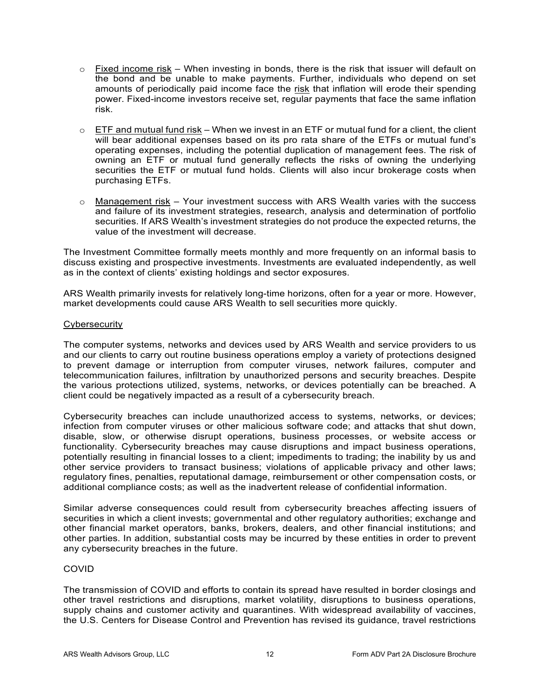- $\circ$  Fixed income risk When investing in bonds, there is the risk that issuer will default on the bond and be unable to make payments. Further, individuals who depend on set amounts of periodically paid income face the risk that inflation will erode their spending power. Fixed-income investors receive set, regular payments that face the same inflation risk.
- $\circ$  ETF and mutual fund risk When we invest in an ETF or mutual fund for a client, the client will bear additional expenses based on its pro rata share of the ETFs or mutual fund's operating expenses, including the potential duplication of management fees. The risk of owning an ETF or mutual fund generally reflects the risks of owning the underlying securities the ETF or mutual fund holds. Clients will also incur brokerage costs when purchasing ETFs.
- $\circ$  Management risk Your investment success with ARS Wealth varies with the success and failure of its investment strategies, research, analysis and determination of portfolio securities. If ARS Wealth's investment strategies do not produce the expected returns, the value of the investment will decrease.

The Investment Committee formally meets monthly and more frequently on an informal basis to discuss existing and prospective investments. Investments are evaluated independently, as well as in the context of clients' existing holdings and sector exposures.

ARS Wealth primarily invests for relatively long-time horizons, often for a year or more. However, market developments could cause ARS Wealth to sell securities more quickly.

## **Cybersecurity**

The computer systems, networks and devices used by ARS Wealth and service providers to us and our clients to carry out routine business operations employ a variety of protections designed to prevent damage or interruption from computer viruses, network failures, computer and telecommunication failures, infiltration by unauthorized persons and security breaches. Despite the various protections utilized, systems, networks, or devices potentially can be breached. A client could be negatively impacted as a result of a cybersecurity breach.

Cybersecurity breaches can include unauthorized access to systems, networks, or devices; infection from computer viruses or other malicious software code; and attacks that shut down, disable, slow, or otherwise disrupt operations, business processes, or website access or functionality. Cybersecurity breaches may cause disruptions and impact business operations, potentially resulting in financial losses to a client; impediments to trading; the inability by us and other service providers to transact business; violations of applicable privacy and other laws; regulatory fines, penalties, reputational damage, reimbursement or other compensation costs, or additional compliance costs; as well as the inadvertent release of confidential information.

Similar adverse consequences could result from cybersecurity breaches affecting issuers of securities in which a client invests; governmental and other regulatory authorities; exchange and other financial market operators, banks, brokers, dealers, and other financial institutions; and other parties. In addition, substantial costs may be incurred by these entities in order to prevent any cybersecurity breaches in the future.

# COVID

The transmission of COVID and efforts to contain its spread have resulted in border closings and other travel restrictions and disruptions, market volatility, disruptions to business operations, supply chains and customer activity and quarantines. With widespread availability of vaccines, the U.S. Centers for Disease Control and Prevention has revised its guidance, travel restrictions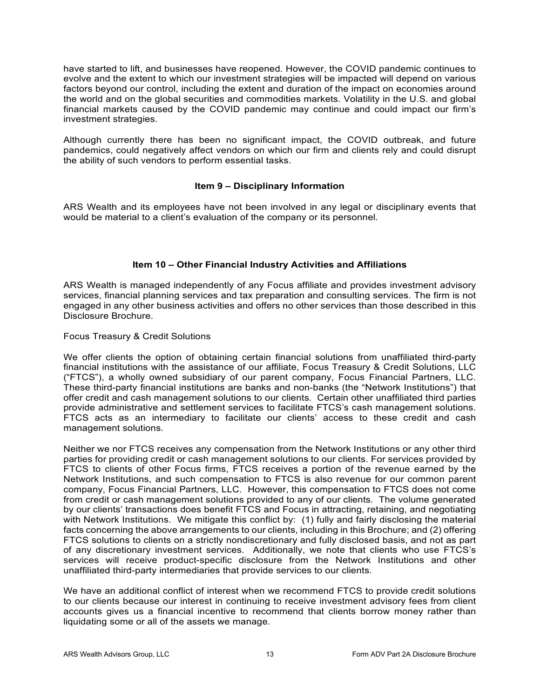have started to lift, and businesses have reopened. However, the COVID pandemic continues to evolve and the extent to which our investment strategies will be impacted will depend on various factors beyond our control, including the extent and duration of the impact on economies around the world and on the global securities and commodities markets. Volatility in the U.S. and global financial markets caused by the COVID pandemic may continue and could impact our firm's investment strategies.

Although currently there has been no significant impact, the COVID outbreak, and future pandemics, could negatively affect vendors on which our firm and clients rely and could disrupt the ability of such vendors to perform essential tasks.

## **Item 9 – Disciplinary Information**

<span id="page-12-0"></span>ARS Wealth and its employees have not been involved in any legal or disciplinary events that would be material to a client's evaluation of the company or its personnel.

# **Item 10 – Other Financial Industry Activities and Affiliations**

<span id="page-12-1"></span>ARS Wealth is managed independently of any Focus affiliate and provides investment advisory services, financial planning services and tax preparation and consulting services. The firm is not engaged in any other business activities and offers no other services than those described in this Disclosure Brochure.

## Focus Treasury & Credit Solutions

We offer clients the option of obtaining certain financial solutions from unaffiliated third-party financial institutions with the assistance of our affiliate, Focus Treasury & Credit Solutions, LLC ("FTCS"), a wholly owned subsidiary of our parent company, Focus Financial Partners, LLC. These third-party financial institutions are banks and non-banks (the "Network Institutions") that offer credit and cash management solutions to our clients. Certain other unaffiliated third parties provide administrative and settlement services to facilitate FTCS's cash management solutions. FTCS acts as an intermediary to facilitate our clients' access to these credit and cash management solutions.

Neither we nor FTCS receives any compensation from the Network Institutions or any other third parties for providing credit or cash management solutions to our clients. For services provided by FTCS to clients of other Focus firms, FTCS receives a portion of the revenue earned by the Network Institutions, and such compensation to FTCS is also revenue for our common parent company, Focus Financial Partners, LLC. However, this compensation to FTCS does not come from credit or cash management solutions provided to any of our clients. The volume generated by our clients' transactions does benefit FTCS and Focus in attracting, retaining, and negotiating with Network Institutions. We mitigate this conflict by: (1) fully and fairly disclosing the material facts concerning the above arrangements to our clients, including in this Brochure; and (2) offering FTCS solutions to clients on a strictly nondiscretionary and fully disclosed basis, and not as part of any discretionary investment services. Additionally, we note that clients who use FTCS's services will receive product-specific disclosure from the Network Institutions and other unaffiliated third-party intermediaries that provide services to our clients.

We have an additional conflict of interest when we recommend FTCS to provide credit solutions to our clients because our interest in continuing to receive investment advisory fees from client accounts gives us a financial incentive to recommend that clients borrow money rather than liquidating some or all of the assets we manage.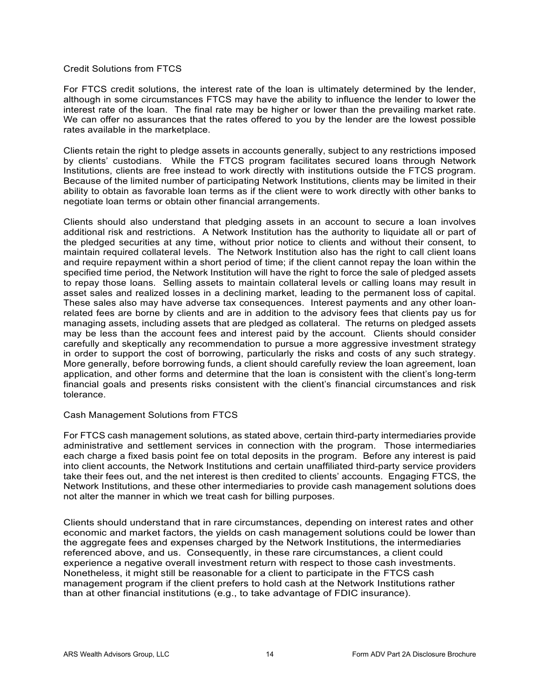#### Credit Solutions from FTCS

For FTCS credit solutions, the interest rate of the loan is ultimately determined by the lender, although in some circumstances FTCS may have the ability to influence the lender to lower the interest rate of the loan. The final rate may be higher or lower than the prevailing market rate. We can offer no assurances that the rates offered to you by the lender are the lowest possible rates available in the marketplace.

Clients retain the right to pledge assets in accounts generally, subject to any restrictions imposed by clients' custodians. While the FTCS program facilitates secured loans through Network Institutions, clients are free instead to work directly with institutions outside the FTCS program. Because of the limited number of participating Network Institutions, clients may be limited in their ability to obtain as favorable loan terms as if the client were to work directly with other banks to negotiate loan terms or obtain other financial arrangements.

Clients should also understand that pledging assets in an account to secure a loan involves additional risk and restrictions. A Network Institution has the authority to liquidate all or part of the pledged securities at any time, without prior notice to clients and without their consent, to maintain required collateral levels. The Network Institution also has the right to call client loans and require repayment within a short period of time; if the client cannot repay the loan within the specified time period, the Network Institution will have the right to force the sale of pledged assets to repay those loans. Selling assets to maintain collateral levels or calling loans may result in asset sales and realized losses in a declining market, leading to the permanent loss of capital. These sales also may have adverse tax consequences. Interest payments and any other loanrelated fees are borne by clients and are in addition to the advisory fees that clients pay us for managing assets, including assets that are pledged as collateral. The returns on pledged assets may be less than the account fees and interest paid by the account. Clients should consider carefully and skeptically any recommendation to pursue a more aggressive investment strategy in order to support the cost of borrowing, particularly the risks and costs of any such strategy. More generally, before borrowing funds, a client should carefully review the loan agreement, loan application, and other forms and determine that the loan is consistent with the client's long-term financial goals and presents risks consistent with the client's financial circumstances and risk tolerance.

#### Cash Management Solutions from FTCS

For FTCS cash management solutions, as stated above, certain third-party intermediaries provide administrative and settlement services in connection with the program. Those intermediaries each charge a fixed basis point fee on total deposits in the program. Before any interest is paid into client accounts, the Network Institutions and certain unaffiliated third-party service providers take their fees out, and the net interest is then credited to clients' accounts. Engaging FTCS, the Network Institutions, and these other intermediaries to provide cash management solutions does not alter the manner in which we treat cash for billing purposes.

<span id="page-13-0"></span>Clients should understand that in rare circumstances, depending on interest rates and other economic and market factors, the yields on cash management solutions could be lower than the aggregate fees and expenses charged by the Network Institutions, the intermediaries referenced above, and us. Consequently, in these rare circumstances, a client could experience a negative overall investment return with respect to those cash investments. Nonetheless, it might still be reasonable for a client to participate in the FTCS cash management program if the client prefers to hold cash at the Network Institutions rather than at other financial institutions (e.g., to take advantage of FDIC insurance).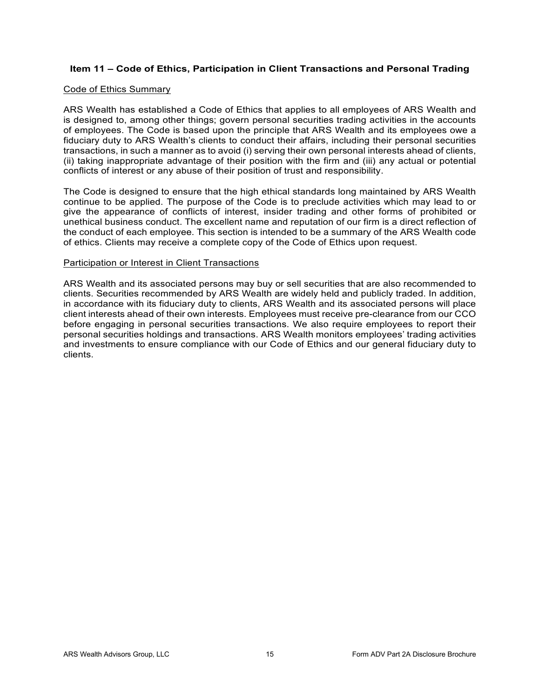# **Item 11 – Code of Ethics, Participation in Client Transactions and Personal Trading**

#### Code of Ethics Summary

ARS Wealth has established a Code of Ethics that applies to all employees of ARS Wealth and is designed to, among other things; govern personal securities trading activities in the accounts of employees. The Code is based upon the principle that ARS Wealth and its employees owe a fiduciary duty to ARS Wealth's clients to conduct their affairs, including their personal securities transactions, in such a manner as to avoid (i) serving their own personal interests ahead of clients, (ii) taking inappropriate advantage of their position with the firm and (iii) any actual or potential conflicts of interest or any abuse of their position of trust and responsibility.

The Code is designed to ensure that the high ethical standards long maintained by ARS Wealth continue to be applied. The purpose of the Code is to preclude activities which may lead to or give the appearance of conflicts of interest, insider trading and other forms of prohibited or unethical business conduct. The excellent name and reputation of our firm is a direct reflection of the conduct of each employee. This section is intended to be a summary of the ARS Wealth code of ethics. Clients may receive a complete copy of the Code of Ethics upon request.

#### Participation or Interest in Client Transactions

<span id="page-14-0"></span>ARS Wealth and its associated persons may buy or sell securities that are also recommended to clients. Securities recommended by ARS Wealth are widely held and publicly traded. In addition, in accordance with its fiduciary duty to clients, ARS Wealth and its associated persons will place client interests ahead of their own interests. Employees must receive pre-clearance from our CCO before engaging in personal securities transactions. We also require employees to report their personal securities holdings and transactions. ARS Wealth monitors employees' trading activities and investments to ensure compliance with our Code of Ethics and our general fiduciary duty to clients.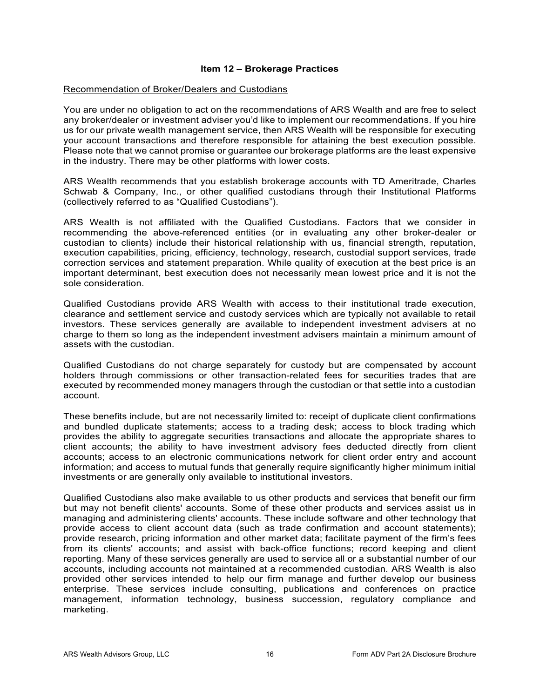## **Item 12 – Brokerage Practices**

## Recommendation of Broker/Dealers and Custodians

You are under no obligation to act on the recommendations of ARS Wealth and are free to select any broker/dealer or investment adviser you'd like to implement our recommendations. If you hire us for our private wealth management service, then ARS Wealth will be responsible for executing your account transactions and therefore responsible for attaining the best execution possible. Please note that we cannot promise or guarantee our brokerage platforms are the least expensive in the industry. There may be other platforms with lower costs.

ARS Wealth recommends that you establish brokerage accounts with TD Ameritrade, Charles Schwab & Company, Inc., or other qualified custodians through their Institutional Platforms (collectively referred to as "Qualified Custodians").

ARS Wealth is not affiliated with the Qualified Custodians. Factors that we consider in recommending the above-referenced entities (or in evaluating any other broker-dealer or custodian to clients) include their historical relationship with us, financial strength, reputation, execution capabilities, pricing, efficiency, technology, research, custodial support services, trade correction services and statement preparation. While quality of execution at the best price is an important determinant, best execution does not necessarily mean lowest price and it is not the sole consideration.

Qualified Custodians provide ARS Wealth with access to their institutional trade execution, clearance and settlement service and custody services which are typically not available to retail investors. These services generally are available to independent investment advisers at no charge to them so long as the independent investment advisers maintain a minimum amount of assets with the custodian.

Qualified Custodians do not charge separately for custody but are compensated by account holders through commissions or other transaction-related fees for securities trades that are executed by recommended money managers through the custodian or that settle into a custodian account.

These benefits include, but are not necessarily limited to: receipt of duplicate client confirmations and bundled duplicate statements; access to a trading desk; access to block trading which provides the ability to aggregate securities transactions and allocate the appropriate shares to client accounts; the ability to have investment advisory fees deducted directly from client accounts; access to an electronic communications network for client order entry and account information; and access to mutual funds that generally require significantly higher minimum initial investments or are generally only available to institutional investors.

Qualified Custodians also make available to us other products and services that benefit our firm but may not benefit clients' accounts. Some of these other products and services assist us in managing and administering clients' accounts. These include software and other technology that provide access to client account data (such as trade confirmation and account statements); provide research, pricing information and other market data; facilitate payment of the firm's fees from its clients' accounts; and assist with back-office functions; record keeping and client reporting. Many of these services generally are used to service all or a substantial number of our accounts, including accounts not maintained at a recommended custodian. ARS Wealth is also provided other services intended to help our firm manage and further develop our business enterprise. These services include consulting, publications and conferences on practice management, information technology, business succession, regulatory compliance and marketing.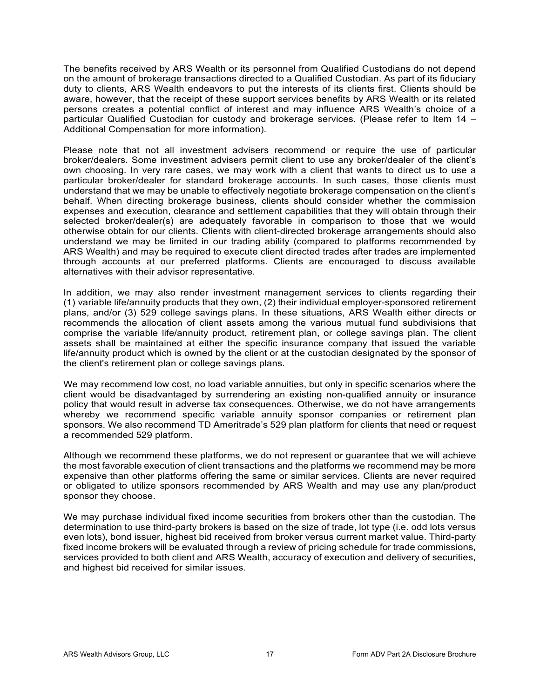The benefits received by ARS Wealth or its personnel from Qualified Custodians do not depend on the amount of brokerage transactions directed to a Qualified Custodian. As part of its fiduciary duty to clients, ARS Wealth endeavors to put the interests of its clients first. Clients should be aware, however, that the receipt of these support services benefits by ARS Wealth or its related persons creates a potential conflict of interest and may influence ARS Wealth's choice of a particular Qualified Custodian for custody and brokerage services. (Please refer to Item 14 – Additional Compensation for more information).

Please note that not all investment advisers recommend or require the use of particular broker/dealers. Some investment advisers permit client to use any broker/dealer of the client's own choosing. In very rare cases, we may work with a client that wants to direct us to use a particular broker/dealer for standard brokerage accounts. In such cases, those clients must understand that we may be unable to effectively negotiate brokerage compensation on the client's behalf. When directing brokerage business, clients should consider whether the commission expenses and execution, clearance and settlement capabilities that they will obtain through their selected broker/dealer(s) are adequately favorable in comparison to those that we would otherwise obtain for our clients. Clients with client-directed brokerage arrangements should also understand we may be limited in our trading ability (compared to platforms recommended by ARS Wealth) and may be required to execute client directed trades after trades are implemented through accounts at our preferred platforms. Clients are encouraged to discuss available alternatives with their advisor representative.

In addition, we may also render investment management services to clients regarding their (1) variable life/annuity products that they own, (2) their individual employer-sponsored retirement plans, and/or (3) 529 college savings plans. In these situations, ARS Wealth either directs or recommends the allocation of client assets among the various mutual fund subdivisions that comprise the variable life/annuity product, retirement plan, or college savings plan. The client assets shall be maintained at either the specific insurance company that issued the variable life/annuity product which is owned by the client or at the custodian designated by the sponsor of the client's retirement plan or college savings plans.

We may recommend low cost, no load variable annuities, but only in specific scenarios where the client would be disadvantaged by surrendering an existing non-qualified annuity or insurance policy that would result in adverse tax consequences. Otherwise, we do not have arrangements whereby we recommend specific variable annuity sponsor companies or retirement plan sponsors. We also recommend TD Ameritrade's 529 plan platform for clients that need or request a recommended 529 platform.

Although we recommend these platforms, we do not represent or guarantee that we will achieve the most favorable execution of client transactions and the platforms we recommend may be more expensive than other platforms offering the same or similar services. Clients are never required or obligated to utilize sponsors recommended by ARS Wealth and may use any plan/product sponsor they choose.

We may purchase individual fixed income securities from brokers other than the custodian. The determination to use third-party brokers is based on the size of trade, lot type (i.e. odd lots versus even lots), bond issuer, highest bid received from broker versus current market value. Third-party fixed income brokers will be evaluated through a review of pricing schedule for trade commissions, services provided to both client and ARS Wealth, accuracy of execution and delivery of securities, and highest bid received for similar issues.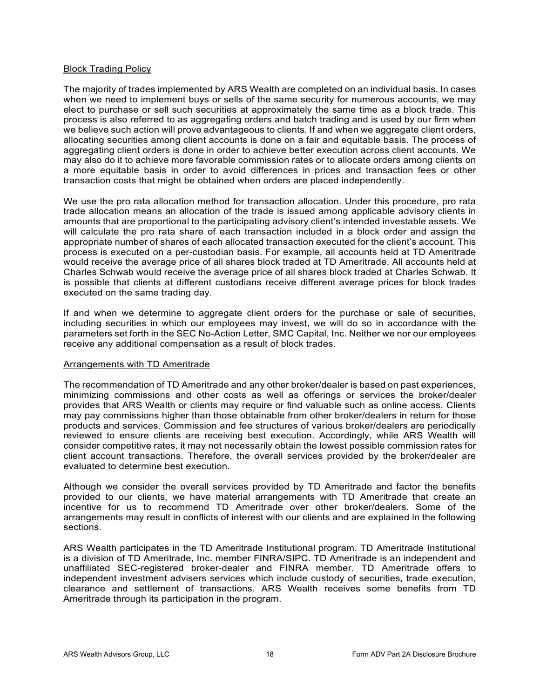## Block Trading Policy

The majority of trades implemented by ARS Wealth are completed on an individual basis. In cases when we need to implement buys or sells of the same security for numerous accounts, we may elect to purchase or sell such securities at approximately the same time as a block trade. This process is also referred to as aggregating orders and batch trading and is used by our firm when we believe such action will prove advantageous to clients. If and when we aggregate client orders, allocating securities among client accounts is done on a fair and equitable basis. The process of aggregating client orders is done in order to achieve better execution across client accounts. We may also do it to achieve more favorable commission rates or to allocate orders among clients on a more equitable basis in order to avoid differences in prices and transaction fees or other transaction costs that might be obtained when orders are placed independently.

We use the pro rata allocation method for transaction allocation. Under this procedure, pro rata trade allocation means an allocation of the trade is issued among applicable advisory clients in amounts that are proportional to the participating advisory client's intended investable assets. We will calculate the pro rata share of each transaction included in a block order and assign the appropriate number of shares of each allocated transaction executed for the client's account. This process is executed on a per-custodian basis. For example, all accounts held at TD Ameritrade would receive the average price of all shares block traded at TD Ameritrade. All accounts held at Charles Schwab would receive the average price of all shares block traded at Charles Schwab. It is possible that clients at different custodians receive different average prices for block trades executed on the same trading day.

If and when we determine to aggregate client orders for the purchase or sale of securities, including securities in which our employees may invest, we will do so in accordance with the parameters set forth in the SEC No-Action Letter, SMC Capital, Inc. Neither we nor our employees receive any additional compensation as a result of block trades.

## Arrangements with TD Ameritrade

The recommendation of TD Ameritrade and any other broker/dealer is based on past experiences, minimizing commissions and other costs as well as offerings or services the broker/dealer provides that ARS Wealth or clients may require or find valuable such as online access. Clients may pay commissions higher than those obtainable from other broker/dealers in return for those products and services. Commission and fee structures of various broker/dealers are periodically reviewed to ensure clients are receiving best execution. Accordingly, while ARS Wealth will consider competitive rates, it may not necessarily obtain the lowest possible commission rates for client account transactions. Therefore, the overall services provided by the broker/dealer are evaluated to determine best execution.

Although we consider the overall services provided by TD Ameritrade and factor the benefits provided to our clients, we have material arrangements with TD Ameritrade that create an incentive for us to recommend TD Ameritrade over other broker/dealers. Some of the arrangements may result in conflicts of interest with our clients and are explained in the following sections.

ARS Wealth participates in the TD Ameritrade Institutional program. TD Ameritrade Institutional is a division of TD Ameritrade, Inc. member FINRA/SIPC. TD Ameritrade is an independent and unaffiliated SEC-registered broker-dealer and FINRA member. TD Ameritrade offers to independent investment advisers services which include custody of securities, trade execution, clearance and settlement of transactions. ARS Wealth receives some benefits from TD Ameritrade through its participation in the program.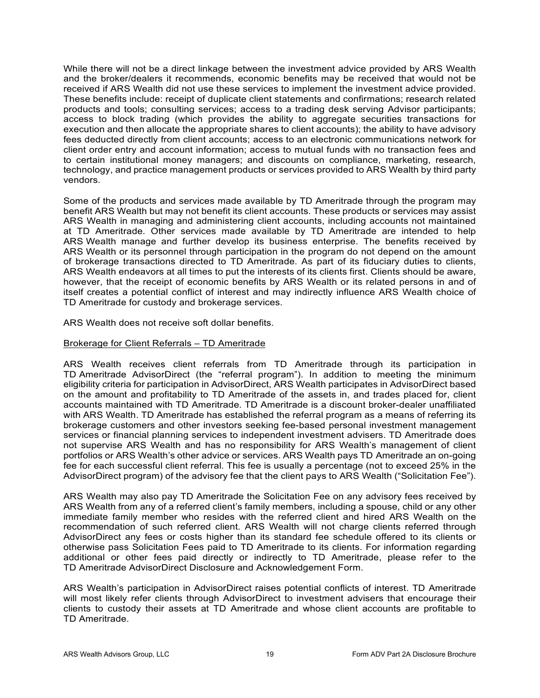While there will not be a direct linkage between the investment advice provided by ARS Wealth and the broker/dealers it recommends, economic benefits may be received that would not be received if ARS Wealth did not use these services to implement the investment advice provided. These benefits include: receipt of duplicate client statements and confirmations; research related products and tools; consulting services; access to a trading desk serving Advisor participants; access to block trading (which provides the ability to aggregate securities transactions for execution and then allocate the appropriate shares to client accounts); the ability to have advisory fees deducted directly from client accounts; access to an electronic communications network for client order entry and account information; access to mutual funds with no transaction fees and to certain institutional money managers; and discounts on compliance, marketing, research, technology, and practice management products or services provided to ARS Wealth by third party vendors.

Some of the products and services made available by TD Ameritrade through the program may benefit ARS Wealth but may not benefit its client accounts. These products or services may assist ARS Wealth in managing and administering client accounts, including accounts not maintained at TD Ameritrade. Other services made available by TD Ameritrade are intended to help ARS Wealth manage and further develop its business enterprise. The benefits received by ARS Wealth or its personnel through participation in the program do not depend on the amount of brokerage transactions directed to TD Ameritrade. As part of its fiduciary duties to clients, ARS Wealth endeavors at all times to put the interests of its clients first. Clients should be aware, however, that the receipt of economic benefits by ARS Wealth or its related persons in and of itself creates a potential conflict of interest and may indirectly influence ARS Wealth choice of TD Ameritrade for custody and brokerage services.

ARS Wealth does not receive soft dollar benefits.

## Brokerage for Client Referrals – TD Ameritrade

ARS Wealth receives client referrals from TD Ameritrade through its participation in TD Ameritrade AdvisorDirect (the "referral program"). In addition to meeting the minimum eligibility criteria for participation in AdvisorDirect, ARS Wealth participates in AdvisorDirect based on the amount and profitability to TD Ameritrade of the assets in, and trades placed for, client accounts maintained with TD Ameritrade. TD Ameritrade is a discount broker-dealer unaffiliated with ARS Wealth. TD Ameritrade has established the referral program as a means of referring its brokerage customers and other investors seeking fee-based personal investment management services or financial planning services to independent investment advisers. TD Ameritrade does not supervise ARS Wealth and has no responsibility for ARS Wealth's management of client portfolios or ARS Wealth's other advice or services. ARS Wealth pays TD Ameritrade an on-going fee for each successful client referral. This fee is usually a percentage (not to exceed 25% in the AdvisorDirect program) of the advisory fee that the client pays to ARS Wealth ("Solicitation Fee").

ARS Wealth may also pay TD Ameritrade the Solicitation Fee on any advisory fees received by ARS Wealth from any of a referred client's family members, including a spouse, child or any other immediate family member who resides with the referred client and hired ARS Wealth on the recommendation of such referred client. ARS Wealth will not charge clients referred through AdvisorDirect any fees or costs higher than its standard fee schedule offered to its clients or otherwise pass Solicitation Fees paid to TD Ameritrade to its clients. For information regarding additional or other fees paid directly or indirectly to TD Ameritrade, please refer to the TD Ameritrade AdvisorDirect Disclosure and Acknowledgement Form.

ARS Wealth's participation in AdvisorDirect raises potential conflicts of interest. TD Ameritrade will most likely refer clients through AdvisorDirect to investment advisers that encourage their clients to custody their assets at TD Ameritrade and whose client accounts are profitable to TD Ameritrade.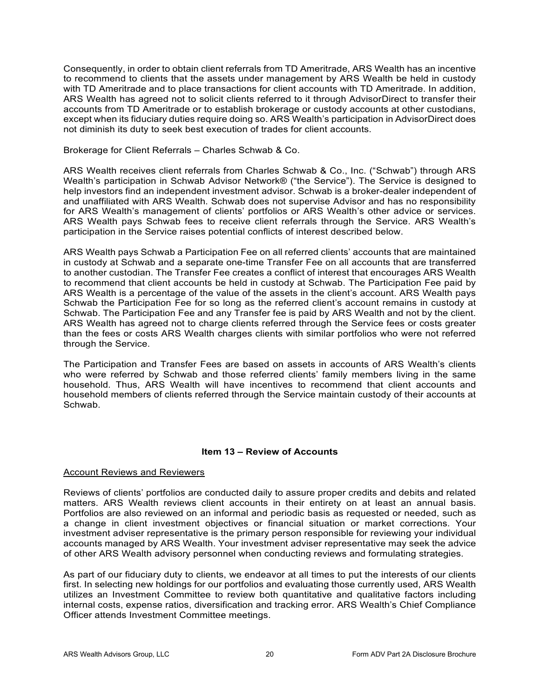Consequently, in order to obtain client referrals from TD Ameritrade, ARS Wealth has an incentive to recommend to clients that the assets under management by ARS Wealth be held in custody with TD Ameritrade and to place transactions for client accounts with TD Ameritrade. In addition, ARS Wealth has agreed not to solicit clients referred to it through AdvisorDirect to transfer their accounts from TD Ameritrade or to establish brokerage or custody accounts at other custodians, except when its fiduciary duties require doing so. ARS Wealth's participation in AdvisorDirect does not diminish its duty to seek best execution of trades for client accounts.

## Brokerage for Client Referrals – Charles Schwab & Co.

ARS Wealth receives client referrals from Charles Schwab & Co., Inc. ("Schwab") through ARS Wealth's participation in Schwab Advisor Network® ("the Service"). The Service is designed to help investors find an independent investment advisor. Schwab is a broker-dealer independent of and unaffiliated with ARS Wealth. Schwab does not supervise Advisor and has no responsibility for ARS Wealth's management of clients' portfolios or ARS Wealth's other advice or services. ARS Wealth pays Schwab fees to receive client referrals through the Service. ARS Wealth's participation in the Service raises potential conflicts of interest described below.

ARS Wealth pays Schwab a Participation Fee on all referred clients' accounts that are maintained in custody at Schwab and a separate one-time Transfer Fee on all accounts that are transferred to another custodian. The Transfer Fee creates a conflict of interest that encourages ARS Wealth to recommend that client accounts be held in custody at Schwab. The Participation Fee paid by ARS Wealth is a percentage of the value of the assets in the client's account. ARS Wealth pays Schwab the Participation Fee for so long as the referred client's account remains in custody at Schwab. The Participation Fee and any Transfer fee is paid by ARS Wealth and not by the client. ARS Wealth has agreed not to charge clients referred through the Service fees or costs greater than the fees or costs ARS Wealth charges clients with similar portfolios who were not referred through the Service.

The Participation and Transfer Fees are based on assets in accounts of ARS Wealth's clients who were referred by Schwab and those referred clients' family members living in the same household. Thus, ARS Wealth will have incentives to recommend that client accounts and household members of clients referred through the Service maintain custody of their accounts at Schwab.

# **Item 13 – Review of Accounts**

## <span id="page-19-0"></span>Account Reviews and Reviewers

Reviews of clients' portfolios are conducted daily to assure proper credits and debits and related matters. ARS Wealth reviews client accounts in their entirety on at least an annual basis. Portfolios are also reviewed on an informal and periodic basis as requested or needed, such as a change in client investment objectives or financial situation or market corrections. Your investment adviser representative is the primary person responsible for reviewing your individual accounts managed by ARS Wealth. Your investment adviser representative may seek the advice of other ARS Wealth advisory personnel when conducting reviews and formulating strategies.

As part of our fiduciary duty to clients, we endeavor at all times to put the interests of our clients first. In selecting new holdings for our portfolios and evaluating those currently used, ARS Wealth utilizes an Investment Committee to review both quantitative and qualitative factors including internal costs, expense ratios, diversification and tracking error. ARS Wealth's Chief Compliance Officer attends Investment Committee meetings.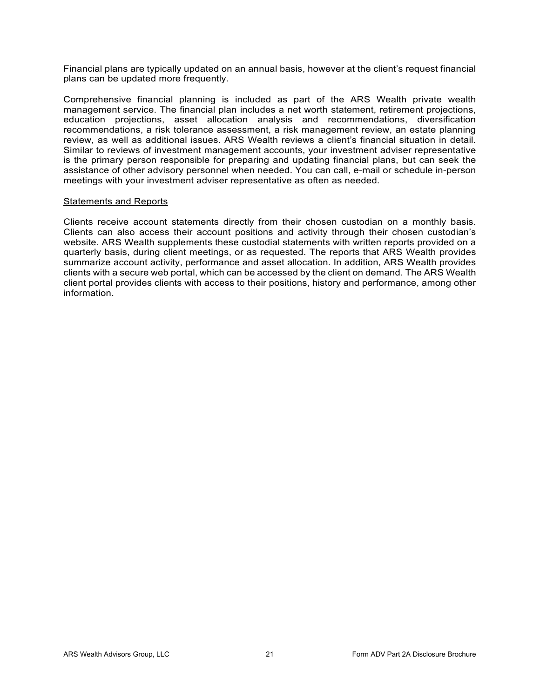Financial plans are typically updated on an annual basis, however at the client's request financial plans can be updated more frequently.

Comprehensive financial planning is included as part of the ARS Wealth private wealth management service. The financial plan includes a net worth statement, retirement projections, education projections, asset allocation analysis and recommendations, diversification recommendations, a risk tolerance assessment, a risk management review, an estate planning review, as well as additional issues. ARS Wealth reviews a client's financial situation in detail. Similar to reviews of investment management accounts, your investment adviser representative is the primary person responsible for preparing and updating financial plans, but can seek the assistance of other advisory personnel when needed. You can call, e-mail or schedule in-person meetings with your investment adviser representative as often as needed.

## Statements and Reports

<span id="page-20-0"></span>Clients receive account statements directly from their chosen custodian on a monthly basis. Clients can also access their account positions and activity through their chosen custodian's website. ARS Wealth supplements these custodial statements with written reports provided on a quarterly basis, during client meetings, or as requested. The reports that ARS Wealth provides summarize account activity, performance and asset allocation. In addition, ARS Wealth provides clients with a secure web portal, which can be accessed by the client on demand. The ARS Wealth client portal provides clients with access to their positions, history and performance, among other information.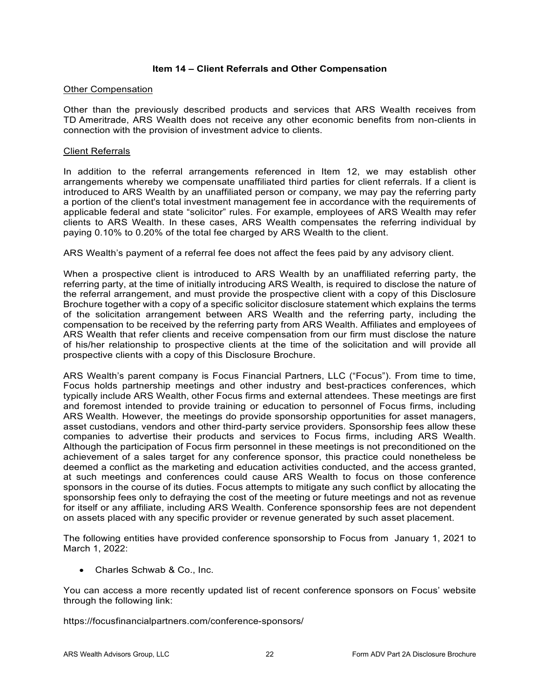## **Item 14 – Client Referrals and Other Compensation**

#### Other Compensation

Other than the previously described products and services that ARS Wealth receives from TD Ameritrade, ARS Wealth does not receive any other economic benefits from non-clients in connection with the provision of investment advice to clients.

#### Client Referrals

In addition to the referral arrangements referenced in Item 12, we may establish other arrangements whereby we compensate unaffiliated third parties for client referrals. If a client is introduced to ARS Wealth by an unaffiliated person or company, we may pay the referring party a portion of the client's total investment management fee in accordance with the requirements of applicable federal and state "solicitor" rules. For example, employees of ARS Wealth may refer clients to ARS Wealth. In these cases, ARS Wealth compensates the referring individual by paying 0.10% to 0.20% of the total fee charged by ARS Wealth to the client.

ARS Wealth's payment of a referral fee does not affect the fees paid by any advisory client.

When a prospective client is introduced to ARS Wealth by an unaffiliated referring party, the referring party, at the time of initially introducing ARS Wealth, is required to disclose the nature of the referral arrangement, and must provide the prospective client with a copy of this Disclosure Brochure together with a copy of a specific solicitor disclosure statement which explains the terms of the solicitation arrangement between ARS Wealth and the referring party, including the compensation to be received by the referring party from ARS Wealth. Affiliates and employees of ARS Wealth that refer clients and receive compensation from our firm must disclose the nature of his/her relationship to prospective clients at the time of the solicitation and will provide all prospective clients with a copy of this Disclosure Brochure.

ARS Wealth's parent company is Focus Financial Partners, LLC ("Focus"). From time to time, Focus holds partnership meetings and other industry and best-practices conferences, which typically include ARS Wealth, other Focus firms and external attendees. These meetings are first and foremost intended to provide training or education to personnel of Focus firms, including ARS Wealth. However, the meetings do provide sponsorship opportunities for asset managers, asset custodians, vendors and other third-party service providers. Sponsorship fees allow these companies to advertise their products and services to Focus firms, including ARS Wealth. Although the participation of Focus firm personnel in these meetings is not preconditioned on the achievement of a sales target for any conference sponsor, this practice could nonetheless be deemed a conflict as the marketing and education activities conducted, and the access granted, at such meetings and conferences could cause ARS Wealth to focus on those conference sponsors in the course of its duties. Focus attempts to mitigate any such conflict by allocating the sponsorship fees only to defraying the cost of the meeting or future meetings and not as revenue for itself or any affiliate, including ARS Wealth. Conference sponsorship fees are not dependent on assets placed with any specific provider or revenue generated by such asset placement.

The following entities have provided conference sponsorship to Focus from January 1, 2021 to March 1, 2022:

• Charles Schwab & Co., Inc.

You can access a more recently updated list of recent conference sponsors on Focus' website through the following link:

https://focusfinancialpartners.com/conference-sponsors/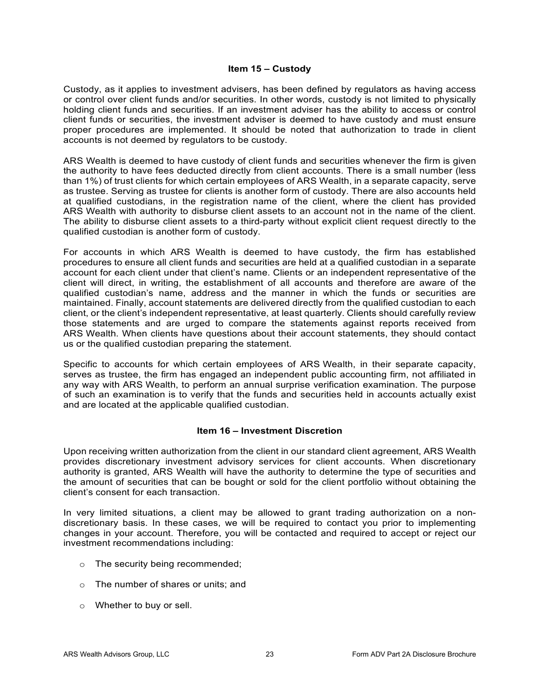## **Item 15 – Custody**

<span id="page-22-0"></span>Custody, as it applies to investment advisers, has been defined by regulators as having access or control over client funds and/or securities. In other words, custody is not limited to physically holding client funds and securities. If an investment adviser has the ability to access or control client funds or securities, the investment adviser is deemed to have custody and must ensure proper procedures are implemented. It should be noted that authorization to trade in client accounts is not deemed by regulators to be custody.

ARS Wealth is deemed to have custody of client funds and securities whenever the firm is given the authority to have fees deducted directly from client accounts. There is a small number (less than 1%) of trust clients for which certain employees of ARS Wealth, in a separate capacity, serve as trustee. Serving as trustee for clients is another form of custody. There are also accounts held at qualified custodians, in the registration name of the client, where the client has provided ARS Wealth with authority to disburse client assets to an account not in the name of the client. The ability to disburse client assets to a third-party without explicit client request directly to the qualified custodian is another form of custody.

For accounts in which ARS Wealth is deemed to have custody, the firm has established procedures to ensure all client funds and securities are held at a qualified custodian in a separate account for each client under that client's name. Clients or an independent representative of the client will direct, in writing, the establishment of all accounts and therefore are aware of the qualified custodian's name, address and the manner in which the funds or securities are maintained. Finally, account statements are delivered directly from the qualified custodian to each client, or the client's independent representative, at least quarterly. Clients should carefully review those statements and are urged to compare the statements against reports received from ARS Wealth. When clients have questions about their account statements, they should contact us or the qualified custodian preparing the statement.

Specific to accounts for which certain employees of ARS Wealth, in their separate capacity, serves as trustee, the firm has engaged an independent public accounting firm, not affiliated in any way with ARS Wealth, to perform an annual surprise verification examination. The purpose of such an examination is to verify that the funds and securities held in accounts actually exist and are located at the applicable qualified custodian.

## **Item 16 – Investment Discretion**

<span id="page-22-1"></span>Upon receiving written authorization from the client in our standard client agreement, ARS Wealth provides discretionary investment advisory services for client accounts. When discretionary authority is granted, ARS Wealth will have the authority to determine the type of securities and the amount of securities that can be bought or sold for the client portfolio without obtaining the client's consent for each transaction.

In very limited situations, a client may be allowed to grant trading authorization on a nondiscretionary basis. In these cases, we will be required to contact you prior to implementing changes in your account. Therefore, you will be contacted and required to accept or reject our investment recommendations including:

- o The security being recommended;
- o The number of shares or units; and
- o Whether to buy or sell.